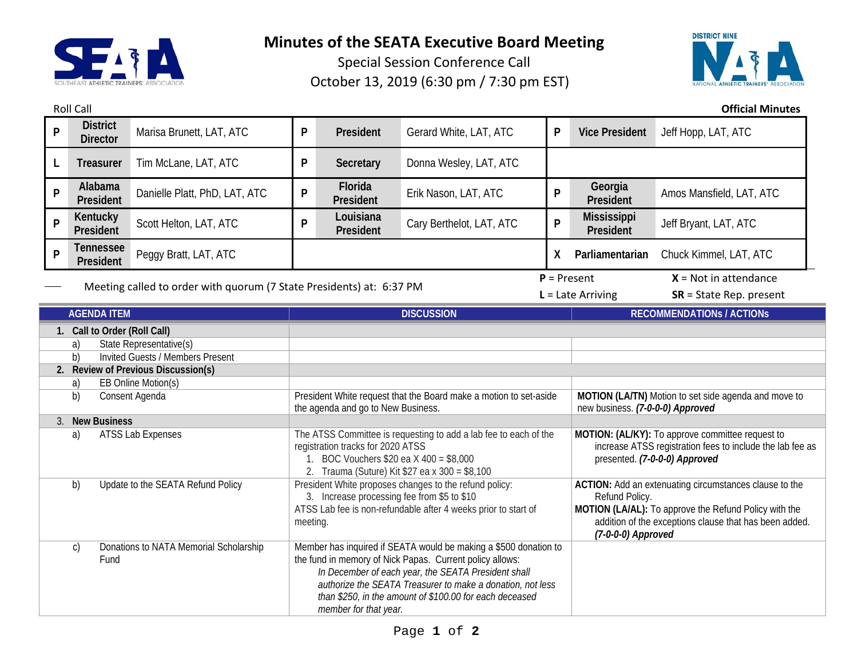

**Minutes of the SEATA Executive Board Meeting**

Special Session Conference Call October 13, 2019 (6:30 pm / 7:30 pm EST)



Roll Call **Official Minutes**

| P | <b>District</b><br><b>Director</b>                                   | Marisa Brunett, LAT, ATC      | P                                                                                                                                                                                                                                                                                                                                     | President              | Gerard White, LAT, ATC   | P                                                                                                                                                                                                                 | <b>Vice President</b>                    | Jeff Hopp, LAT, ATC       |  |
|---|----------------------------------------------------------------------|-------------------------------|---------------------------------------------------------------------------------------------------------------------------------------------------------------------------------------------------------------------------------------------------------------------------------------------------------------------------------------|------------------------|--------------------------|-------------------------------------------------------------------------------------------------------------------------------------------------------------------------------------------------------------------|------------------------------------------|---------------------------|--|
|   | Treasurer                                                            | Tim McLane, LAT, ATC          | P                                                                                                                                                                                                                                                                                                                                     | Secretary              | Donna Wesley, LAT, ATC   |                                                                                                                                                                                                                   |                                          |                           |  |
| P | Alabama<br>President                                                 | Danielle Platt, PhD, LAT, ATC | P                                                                                                                                                                                                                                                                                                                                     | Florida<br>President   | Erik Nason, LAT, ATC     | P                                                                                                                                                                                                                 | Georgia<br>President                     | Amos Mansfield, LAT, ATC  |  |
| P | Kentucky<br>President                                                | Scott Helton, LAT, ATC        | P                                                                                                                                                                                                                                                                                                                                     | Louisiana<br>President | Cary Berthelot, LAT, ATC | P                                                                                                                                                                                                                 | <b>Mississippi</b><br>President          | Jeff Bryant, LAT, ATC     |  |
| P | <b>Tennessee</b><br>President                                        | Peggy Bratt, LAT, ATC         |                                                                                                                                                                                                                                                                                                                                       |                        |                          | X.                                                                                                                                                                                                                | Parliamentarian                          | Chuck Kimmel, LAT, ATC    |  |
|   |                                                                      |                               |                                                                                                                                                                                                                                                                                                                                       |                        |                          |                                                                                                                                                                                                                   | $X = Not in attenuance$<br>$P = Present$ |                           |  |
|   | Meeting called to order with quorum (7 State Presidents) at: 6:37 PM |                               |                                                                                                                                                                                                                                                                                                                                       |                        |                          |                                                                                                                                                                                                                   | $L =$ Late Arriving                      | $SR = State Rep. present$ |  |
|   | <b>AGENDA ITEM</b>                                                   |                               |                                                                                                                                                                                                                                                                                                                                       | <b>DISCUSSION</b>      |                          |                                                                                                                                                                                                                   | <b>RECOMMENDATIONS / ACTIONS</b>         |                           |  |
|   | 1. Call to Order (Roll Call)                                         |                               |                                                                                                                                                                                                                                                                                                                                       |                        |                          |                                                                                                                                                                                                                   |                                          |                           |  |
|   | State Representative(s)<br>a)                                        |                               |                                                                                                                                                                                                                                                                                                                                       |                        |                          |                                                                                                                                                                                                                   |                                          |                           |  |
|   | <b>Invited Guests / Members Present</b><br>b)                        |                               |                                                                                                                                                                                                                                                                                                                                       |                        |                          |                                                                                                                                                                                                                   |                                          |                           |  |
|   | 2. Review of Previous Discussion(s)                                  |                               |                                                                                                                                                                                                                                                                                                                                       |                        |                          |                                                                                                                                                                                                                   |                                          |                           |  |
|   | EB Online Motion(s)<br>a)                                            |                               |                                                                                                                                                                                                                                                                                                                                       |                        |                          |                                                                                                                                                                                                                   |                                          |                           |  |
|   | b)<br>Consent Agenda                                                 |                               | President White request that the Board make a motion to set-aside<br>the agenda and go to New Business.                                                                                                                                                                                                                               |                        |                          | MOTION (LA/TN) Motion to set side agenda and move to<br>new business. (7-0-0-0) Approved                                                                                                                          |                                          |                           |  |
|   | 3. New Business                                                      |                               |                                                                                                                                                                                                                                                                                                                                       |                        |                          |                                                                                                                                                                                                                   |                                          |                           |  |
|   | <b>ATSS Lab Expenses</b><br>a)                                       |                               | The ATSS Committee is requesting to add a lab fee to each of the<br>registration tracks for 2020 ATSS<br>1. BOC Vouchers $$20$ ea X 400 = $$8,000$<br>2. Trauma (Suture) Kit \$27 ea x 300 = \$8,100                                                                                                                                  |                        |                          | MOTION: (AL/KY): To approve committee request to<br>increase ATSS registration fees to include the lab fee as<br>presented. (7-0-0-0) Approved                                                                    |                                          |                           |  |
|   | Update to the SEATA Refund Policy<br>b)                              |                               | President White proposes changes to the refund policy:<br>3. Increase processing fee from \$5 to \$10<br>ATSS Lab fee is non-refundable after 4 weeks prior to start of<br>meeting.                                                                                                                                                   |                        |                          | ACTION: Add an extenuating circumstances clause to the<br>Refund Policy.<br>MOTION (LA/AL): To approve the Refund Policy with the<br>addition of the exceptions clause that has been added.<br>(7-0-0-0) Approved |                                          |                           |  |
|   | Donations to NATA Memorial Scholarship<br>$\mathcal{C}$<br>Fund      |                               | Member has inquired if SEATA would be making a \$500 donation to<br>the fund in memory of Nick Papas. Current policy allows:<br>In December of each year, the SEATA President shall<br>authorize the SEATA Treasurer to make a donation, not less<br>than \$250, in the amount of \$100.00 for each deceased<br>member for that year. |                        |                          |                                                                                                                                                                                                                   |                                          |                           |  |